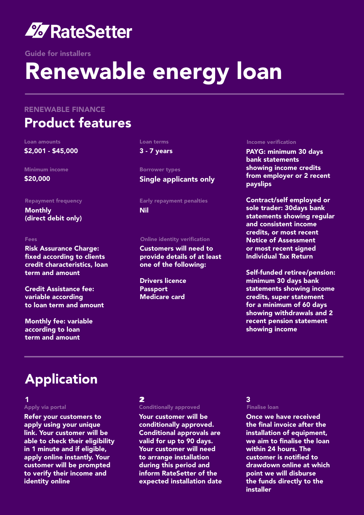

Guide for installers

# Renewable energy loan

### RENEWABLE FINANCE

### Product features

#### Loan amounts

\$2,001 - \$45,000

Minimum income \$20,000

#### Repayment frequency

Monthly (direct debit only)

### Fees

Risk Assurance Charge: fixed according to clients credit characteristics, loan term and amount

Credit Assistance fee: variable according to loan term and amount

Monthly fee: variable according to loan term and amount

### Loan terms

3 - 7 years

Borrower types Single applicants only

Early repayment penalties Nil

### Online identity verification

Customers will need to provide details of at least one of the following:

Drivers licence **Passport** Medicare card

### Income verification

PAYG: minimum 30 days bank statements showing income credits from employer or 2 recent payslips

Contract/self employed or sole trader: 30days bank statements showing regular and consistent income credits, or most recent Notice of Assessment or most recent signed Individual Tax Return

Self-funded retiree/pension: minimum 30 days bank statements showing income credits, super statement for a minimum of 60 days showing withdrawals and 2 recent pension statement showing income

### Application

### Apply via portal 1  $\sim$  2  $\sim$  2

Refer your customers to apply using your unique link. Your customer will be able to check their eligibility in 1 minute and if eligible, apply online instantly. Your customer will be prompted to verify their income and identity online

### 2

### Conditionally approved

Your customer will be conditionally approved. Conditional approvals are valid for up to 90 days. Your customer will need to arrange installation during this period and inform RateSetter of the expected installation date

#### Finalise loan 3

Once we have received the final invoice after the installation of equipment, we aim to finalise the loan within 24 hours. The customer is notified to drawdown online at which point we will disburse the funds directly to the installer